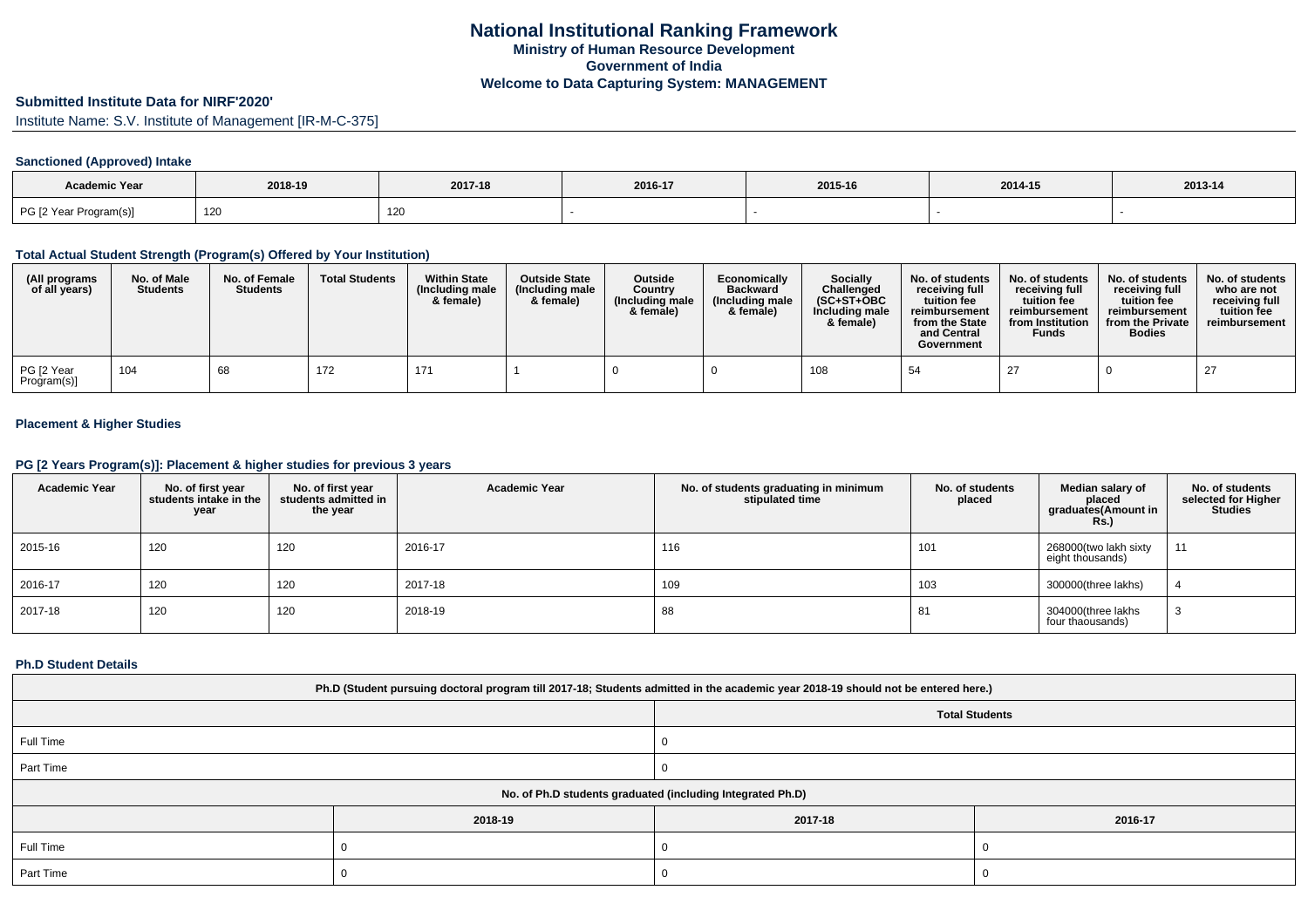# **Submitted Institute Data for NIRF'2020'**

Institute Name: S.V. Institute of Management [IR-M-C-375]

## **Sanctioned (Approved) Intake**

| Academic Year          |         |         |         |         |         |         |
|------------------------|---------|---------|---------|---------|---------|---------|
|                        | 2018-19 | 2017-18 | 2016-17 | 2015-16 | 2014-15 | 2013-14 |
| PG [2 Year Program(s)] | 120     | 120     |         |         |         |         |

#### **Total Actual Student Strength (Program(s) Offered by Your Institution)**

| (All programs<br>of all years) | No. of Male<br><b>Students</b> | No. of Female<br><b>Students</b> | <b>Total Students</b> | <b>Within State</b><br>(Including male<br>& female) | <b>Outside State</b><br>(Including male<br>& female) | <b>Outside</b><br>Country<br>(Including male<br>& female) | Economically<br><b>Backward</b><br>(Including male<br>& female) | Socially<br>Challenged<br>$(SC+ST+OBC)$<br>Including male<br>& female) | No. of students<br>receiving full<br>tuition fee<br>reimbursement<br>from the State<br>and Central<br>Government | No. of students<br>receiving full<br>tuition fee<br>reimbursement<br>from Institution<br><b>Funds</b> | No. of students<br>receiving full<br>tuition fee<br>reimbursement<br>from the Private<br><b>Bodies</b> | No. of students<br>who are not<br>receiving full<br>tuition fee<br>reimbursement |
|--------------------------------|--------------------------------|----------------------------------|-----------------------|-----------------------------------------------------|------------------------------------------------------|-----------------------------------------------------------|-----------------------------------------------------------------|------------------------------------------------------------------------|------------------------------------------------------------------------------------------------------------------|-------------------------------------------------------------------------------------------------------|--------------------------------------------------------------------------------------------------------|----------------------------------------------------------------------------------|
| PG [2 Year<br>Program(s)]      | 104                            | 68                               | 172                   | 171                                                 |                                                      |                                                           |                                                                 | 108                                                                    | 54                                                                                                               | 27                                                                                                    |                                                                                                        | 27                                                                               |

## **Placement & Higher Studies**

#### **PG [2 Years Program(s)]: Placement & higher studies for previous 3 years**

| <b>Academic Year</b> | No. of first year<br>students intake in the<br>year | No. of first year<br>students admitted in<br>the year | <b>Academic Year</b> | No. of students graduating in minimum<br>stipulated time | No. of students<br>placed | Median salary of<br>placed<br>graduates(Amount in<br>Rs. | No. of students<br>selected for Higher<br><b>Studies</b> |
|----------------------|-----------------------------------------------------|-------------------------------------------------------|----------------------|----------------------------------------------------------|---------------------------|----------------------------------------------------------|----------------------------------------------------------|
| 2015-16              | 120                                                 | 120                                                   | 2016-17              | 116                                                      | 101                       | 268000(two lakh sixty<br>eight thousands)                | 11                                                       |
| 2016-17              | 120                                                 | 120                                                   | 2017-18              | 109                                                      | 103                       | 300000(three lakhs)                                      |                                                          |
| 2017-18              | 120                                                 | 120                                                   | 2018-19              | 88                                                       | 81                        | 304000(three lakhs<br>four thaousands)                   |                                                          |

#### **Ph.D Student Details**

| Ph.D (Student pursuing doctoral program till 2017-18; Students admitted in the academic year 2018-19 should not be entered here.) |         |                       |         |  |
|-----------------------------------------------------------------------------------------------------------------------------------|---------|-----------------------|---------|--|
|                                                                                                                                   |         | <b>Total Students</b> |         |  |
| Full Time                                                                                                                         |         |                       |         |  |
| Part Time                                                                                                                         |         |                       |         |  |
| No. of Ph.D students graduated (including Integrated Ph.D)                                                                        |         |                       |         |  |
|                                                                                                                                   | 2018-19 | 2017-18               | 2016-17 |  |
| Full Time                                                                                                                         |         |                       |         |  |
| Part Time                                                                                                                         |         |                       |         |  |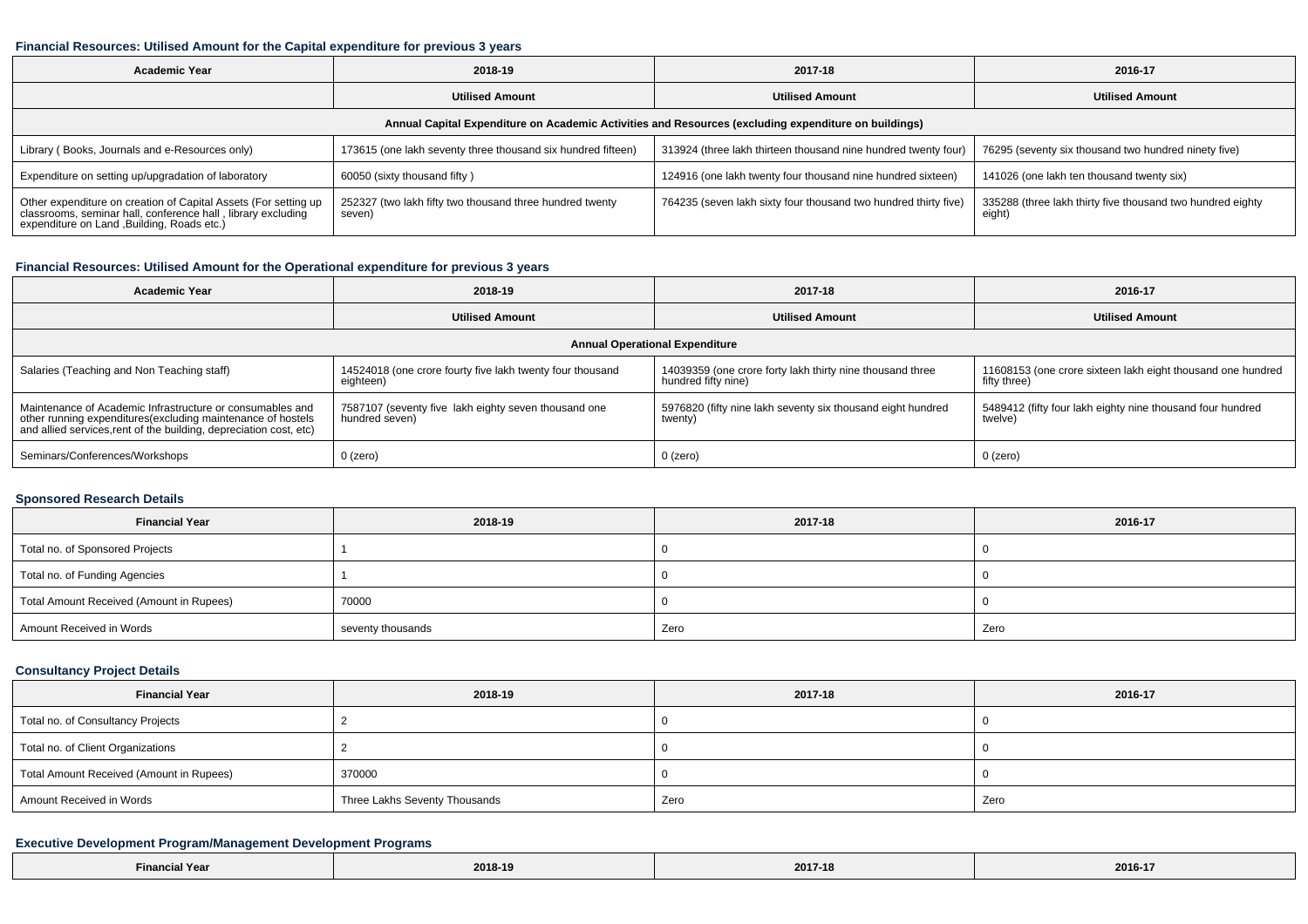#### **Financial Resources: Utilised Amount for the Capital expenditure for previous 3 years**

| <b>Academic Year</b>                                                                                                                                                        | 2018-19                                                            | 2017-18                                                         | 2016-17                                                              |  |
|-----------------------------------------------------------------------------------------------------------------------------------------------------------------------------|--------------------------------------------------------------------|-----------------------------------------------------------------|----------------------------------------------------------------------|--|
|                                                                                                                                                                             | <b>Utilised Amount</b>                                             | <b>Utilised Amount</b>                                          | <b>Utilised Amount</b>                                               |  |
| Annual Capital Expenditure on Academic Activities and Resources (excluding expenditure on buildings)                                                                        |                                                                    |                                                                 |                                                                      |  |
| Library (Books, Journals and e-Resources only)                                                                                                                              | 173615 (one lakh seventy three thousand six hundred fifteen)       | 313924 (three lakh thirteen thousand nine hundred twenty four)  | 76295 (seventy six thousand two hundred ninety five)                 |  |
| Expenditure on setting up/upgradation of laboratory                                                                                                                         | 60050 (sixty thousand fifty)                                       | 124916 (one lakh twenty four thousand nine hundred sixteen)     | 141026 (one lakh ten thousand twenty six)                            |  |
| Other expenditure on creation of Capital Assets (For setting up classrooms, seminar hall, conference hall, library excluding<br>expenditure on Land , Building, Roads etc.) | 252327 (two lakh fifty two thousand three hundred twenty<br>seven) | 764235 (seven lakh sixty four thousand two hundred thirty five) | 335288 (three lakh thirty five thousand two hundred eighty<br>eight) |  |

## **Financial Resources: Utilised Amount for the Operational expenditure for previous 3 years**

| <b>Academic Year</b>                                                                                                                                                                            | 2018-19                                                                | 2017-18                                                                          | 2016-17                                                                     |  |  |
|-------------------------------------------------------------------------------------------------------------------------------------------------------------------------------------------------|------------------------------------------------------------------------|----------------------------------------------------------------------------------|-----------------------------------------------------------------------------|--|--|
|                                                                                                                                                                                                 | <b>Utilised Amount</b>                                                 | <b>Utilised Amount</b>                                                           | <b>Utilised Amount</b>                                                      |  |  |
| <b>Annual Operational Expenditure</b>                                                                                                                                                           |                                                                        |                                                                                  |                                                                             |  |  |
| Salaries (Teaching and Non Teaching staff)                                                                                                                                                      | 14524018 (one crore fourty five lakh twenty four thousand<br>eighteen) | 14039359 (one crore forty lakh thirty nine thousand three<br>hundred fifty nine) | 11608153 (one crore sixteen lakh eight thousand one hundred<br>fifty three) |  |  |
| Maintenance of Academic Infrastructure or consumables and<br>other running expenditures (excluding maintenance of hostels<br>and allied services, rent of the building, depreciation cost, etc) | 7587107 (seventy five lakh eighty seven thousand one<br>hundred seven) | 5976820 (fifty nine lakh seventy six thousand eight hundred<br>twenty)           | 5489412 (fifty four lakh eighty nine thousand four hundred<br>twelve)       |  |  |
| Seminars/Conferences/Workshops                                                                                                                                                                  | $0$ (zero)                                                             | 0 (zero)                                                                         | 0 (zero)                                                                    |  |  |

### **Sponsored Research Details**

| <b>Financial Year</b>                    | 2018-19           | 2017-18 | 2016-17 |
|------------------------------------------|-------------------|---------|---------|
| Total no. of Sponsored Projects          |                   |         |         |
| Total no. of Funding Agencies            |                   |         |         |
| Total Amount Received (Amount in Rupees) | 70000             |         |         |
| Amount Received in Words                 | seventy thousands | Zero    | Zero    |

### **Consultancy Project Details**

| <b>Financial Year</b>                    | 2018-19                       | 2017-18 | 2016-17 |
|------------------------------------------|-------------------------------|---------|---------|
| Total no. of Consultancy Projects        |                               |         |         |
| Total no. of Client Organizations        |                               |         |         |
| Total Amount Received (Amount in Rupees) | 370000                        |         |         |
| Amount Received in Words                 | Three Lakhs Seventy Thousands | Zero    | Zero    |

## **Executive Development Program/Management Development Programs**

| Yea<br>Hinanc.<br>. | 2018-19<br>$\sim$ $\sim$ $\sim$ $\sim$ | $\overline{\phantom{a}}$<br>2017-18<br>the contract of the contract of the | 2016-1<br>---- -- |
|---------------------|----------------------------------------|----------------------------------------------------------------------------|-------------------|
|---------------------|----------------------------------------|----------------------------------------------------------------------------|-------------------|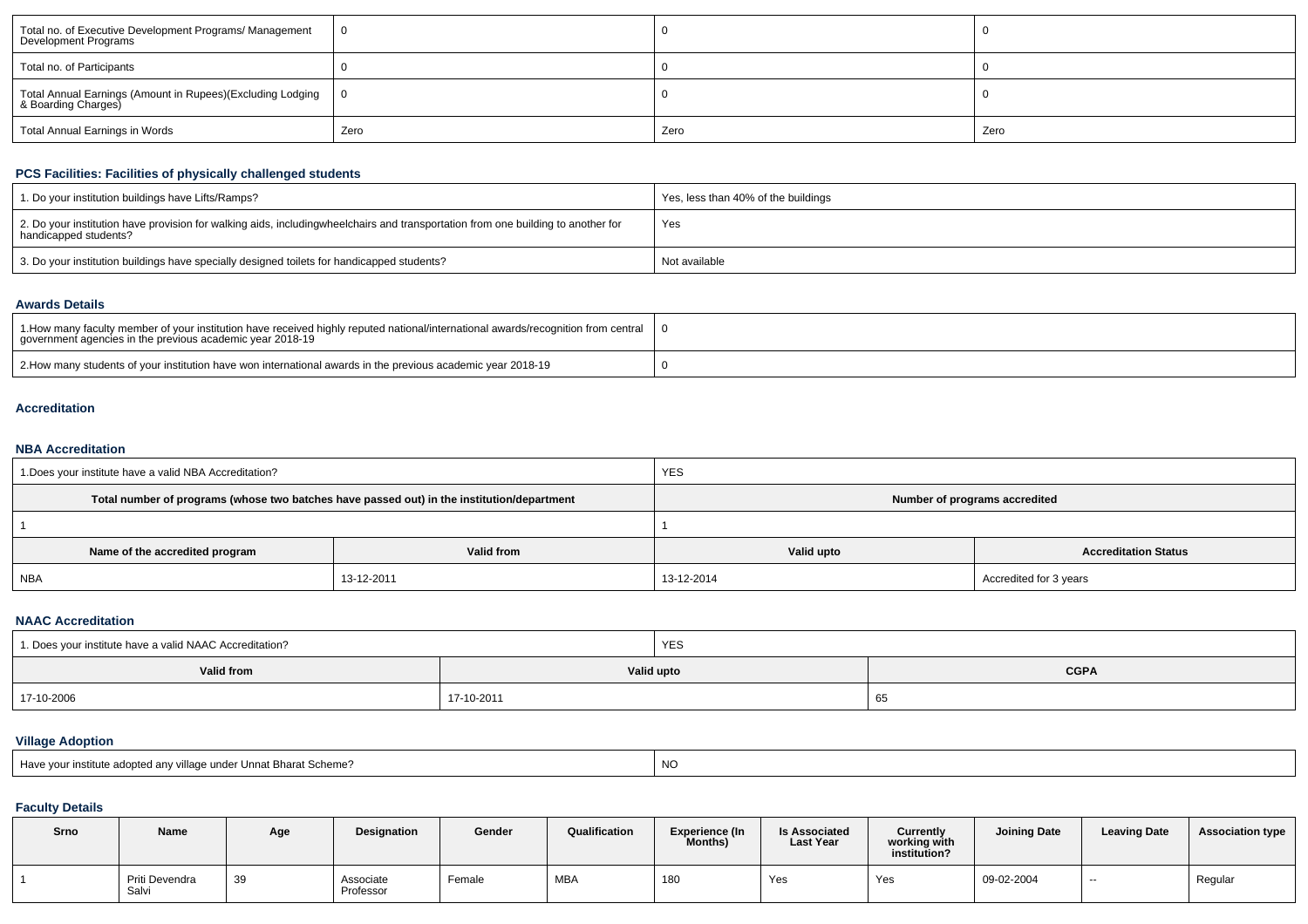| Total no. of Executive Development Programs/ Management<br>Development Programs     |      |      |      |
|-------------------------------------------------------------------------------------|------|------|------|
| Total no. of Participants                                                           |      |      |      |
| Total Annual Earnings (Amount in Rupees)(Excluding Lodging  <br>& Boarding Charges) | IO.  |      |      |
| Total Annual Earnings in Words                                                      | Zero | Zero | Zero |

## **PCS Facilities: Facilities of physically challenged students**

| 1. Do your institution buildings have Lifts/Ramps?                                                                                                        | Yes, less than 40% of the buildings |
|-----------------------------------------------------------------------------------------------------------------------------------------------------------|-------------------------------------|
| 2. Do your institution have provision for walking aids, includingwheelchairs and transportation from one building to another for<br>handicapped students? | Yes                                 |
| 3. Do your institution buildings have specially designed toilets for handicapped students?                                                                | Not available                       |

#### **Awards Details**

| 1. How many faculty member of your institution have received highly reputed national/international awards/recognition from central '<br>government agencies in the previous academic year 2018-19 |  |
|---------------------------------------------------------------------------------------------------------------------------------------------------------------------------------------------------|--|
| 2. How many students of your institution have won international awards in the previous academic year 2018-19                                                                                      |  |

#### **Accreditation**

### **NBA Accreditation**

| 1. Does your institute have a valid NBA Accreditation? |                                                                                            | <b>YES</b>                    |                             |  |  |  |
|--------------------------------------------------------|--------------------------------------------------------------------------------------------|-------------------------------|-----------------------------|--|--|--|
|                                                        | Total number of programs (whose two batches have passed out) in the institution/department | Number of programs accredited |                             |  |  |  |
|                                                        |                                                                                            |                               |                             |  |  |  |
| Name of the accredited program                         | Valid from                                                                                 | Valid upto                    | <b>Accreditation Status</b> |  |  |  |
| <b>NBA</b>                                             | 13-12-2011                                                                                 | 13-12-2014                    | Accredited for 3 years      |  |  |  |

### **NAAC Accreditation**

| 1. Does your institute have a valid NAAC Accreditation? |            | <b>YES</b> |             |  |  |  |
|---------------------------------------------------------|------------|------------|-------------|--|--|--|
| Valid from                                              |            | Valid upto | <b>CGPA</b> |  |  |  |
| 17-10-2006                                              | 17-10-2011 |            | 65          |  |  |  |

## **Village Adoption**

| Have your institute adopted any village under Unnat Bharat Scheme? | NC |
|--------------------------------------------------------------------|----|
|--------------------------------------------------------------------|----|

# **Faculty Details**

| Srno | Name                    | Age | <b>Designation</b>     | Gender | Qualification | <b>Experience (In</b><br>Months) | <b>Is Associated</b><br><b>Last Year</b> | Currently<br>working with<br>institution? | <b>Joining Date</b> | <b>Leaving Date</b> | <b>Association type</b> |
|------|-------------------------|-----|------------------------|--------|---------------|----------------------------------|------------------------------------------|-------------------------------------------|---------------------|---------------------|-------------------------|
|      | Priti Devendra<br>Salvi | 39  | Associate<br>Professor | Female | MBA           | 180                              | Yes                                      | Yes                                       | 09-02-2004          | $- -$               | Regular                 |